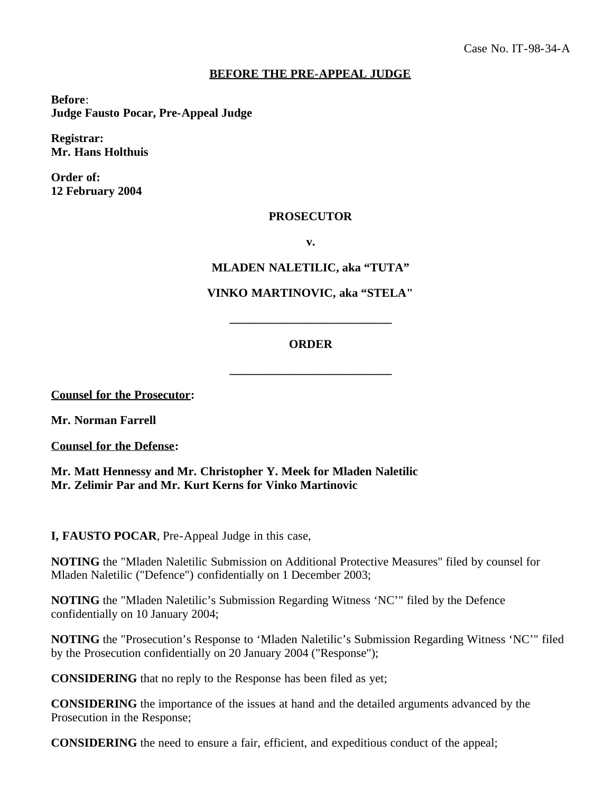## **BEFORE THE PRE-APPEAL JUDGE**

**Before**: **Judge Fausto Pocar, Pre-Appeal Judge**

**Registrar: Mr. Hans Holthuis**

**Order of: 12 February 2004**

## **PROSECUTOR**

**v.**

**MLADEN NALETILIC, aka "TUTA"**

## **VINKO MARTINOVIC, aka "STELA"**

## **ORDER**

**\_\_\_\_\_\_\_\_\_\_\_\_\_\_\_\_\_\_\_\_\_\_\_\_\_\_\_**

**\_\_\_\_\_\_\_\_\_\_\_\_\_\_\_\_\_\_\_\_\_\_\_\_\_\_\_**

**Counsel for the Prosecutor:**

**Mr. Norman Farrell**

**Counsel for the Defense:**

**Mr. Matt Hennessy and Mr. Christopher Y. Meek for Mladen Naletilic Mr. Zelimir Par and Mr. Kurt Kerns for Vinko Martinovic**

**I, FAUSTO POCAR**, Pre-Appeal Judge in this case,

**NOTING** the "Mladen Naletilic Submission on Additional Protective Measures" filed by counsel for Mladen Naletilic ("Defence") confidentially on 1 December 2003;

**NOTING** the "Mladen Naletilic's Submission Regarding Witness 'NC'" filed by the Defence confidentially on 10 January 2004;

**NOTING** the "Prosecution's Response to 'Mladen Naletilic's Submission Regarding Witness 'NC'" filed by the Prosecution confidentially on 20 January 2004 ("Response");

**CONSIDERING** that no reply to the Response has been filed as yet;

**CONSIDERING** the importance of the issues at hand and the detailed arguments advanced by the Prosecution in the Response;

**CONSIDERING** the need to ensure a fair, efficient, and expeditious conduct of the appeal;